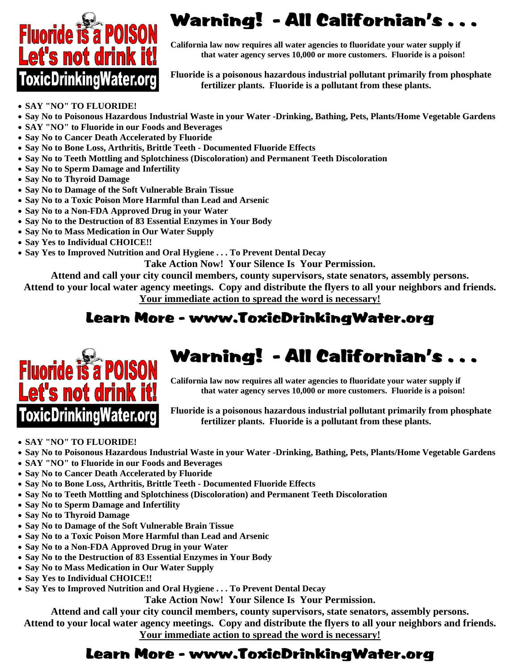

# Fluoride is a POISON Warning! - All Californian's ...

 **California law now requires all water agencies to fluoridate your water supply if that water agency serves 10,000 or more customers. Fluoride is a poison that water agency serves 10,000 or more customers. Fluoride is a p that water agency serves 10,000 or more customers. Fluoride is a poison!** 

 **Fluoride is a poisonous hazardous industrial pollutant primarily from phosphate**<br>  **Fluoride is a pollutant from these plants fertilizer plants. Fluoride is a pollutant from these plants.**

- **SAY "NO" TO FLUORIDE!**
- **Say No to Poisonous Hazardous Industrial Waste in your Water -Drinking, Bathing, Pets, Plants/Home Vegetable Gardens**
- **SAY "NO" to Fluoride in our Foods and Beverages**
- **Say No to Cancer Death Accelerated by Fluoride**
- **Say No to Bone Loss, Arthritis, Brittle Teeth Documented Fluoride Effects**
- **Say No to Teeth Mottling and Splotchiness (Discoloration) and Permanent Teeth Discoloration**
- **Say No to Sperm Damage and Infertility**
- **Say No to Thyroid Damage**
- **Say No to Damage of the Soft Vulnerable Brain Tissue**
- **Say No to a Toxic Poison More Harmful than Lead and Arsenic**
- **Say No to a Non-FDA Approved Drug in your Water**
- **Say No to the Destruction of 83 Essential Enzymes in Your Body**
- **Say No to Mass Medication in Our Water Supply**
- **Say Yes to Individual CHOICE!!**
- **Say Yes to Improved Nutrition and Oral Hygiene . . . To Prevent Dental Decay**

**Take Action Now! Your Silence Is Your Permission.** 

**Attend and call your city council members, county supervisors, state senators, assembly persons.** 

**Attend to your local water agency meetings. Copy and distribute the flyers to all your neighbors and friends. Your immediate action to spread the word is necessary!**

### Learn More - www.ToxicDrinkingWater.org



## Fluoride is a POISON Warning! - All Californian's ...

 **California law now requires all water agencies to fluoridate your water supply if that water agency serves 10,000 or more customers. Fluoride is a poison that water agency serves 10,000 or more customers. Fluoride is a poison!** 

**OXIC Drinking Water.org** Fluoride is a poisonous hazardous industrial pollutant primarily from phosphate **Conserversity** from the primarily from phosphate  **fertilizer plants. Fluoride is a pollutant from these plants.**

#### • **SAY "NO" TO FLUORIDE!**

- **Say No to Poisonous Hazardous Industrial Waste in your Water -Drinking, Bathing, Pets, Plants/Home Vegetable Gardens**
- **SAY "NO" to Fluoride in our Foods and Beverages**
- **Say No to Cancer Death Accelerated by Fluoride**
- **Say No to Bone Loss, Arthritis, Brittle Teeth Documented Fluoride Effects**
- **Say No to Teeth Mottling and Splotchiness (Discoloration) and Permanent Teeth Discoloration**
- **Say No to Sperm Damage and Infertility**
- **Say No to Thyroid Damage**
- **Say No to Damage of the Soft Vulnerable Brain Tissue**
- **Say No to a Toxic Poison More Harmful than Lead and Arsenic**
- **Say No to a Non-FDA Approved Drug in your Water**
- **Say No to the Destruction of 83 Essential Enzymes in Your Body**
- **Say No to Mass Medication in Our Water Supply**
- **Say Yes to Individual CHOICE!!**
- **Say Yes to Improved Nutrition and Oral Hygiene . . . To Prevent Dental Decay**

**Take Action Now! Your Silence Is Your Permission.** 

**Attend and call your city council members, county supervisors, state senators, assembly persons.** 

**Attend to your local water agency meetings. Copy and distribute the flyers to all your neighbors and friends. Your immediate action to spread the word is necessary!**

## Learn More - www.ToxicDrinkingWater.org